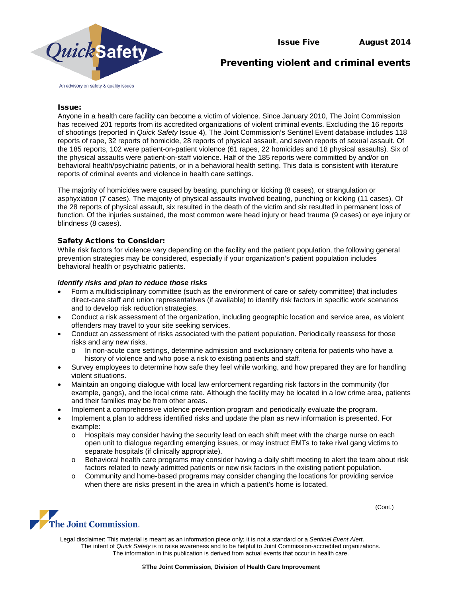

# Preventing violent and criminal events

## Issue:

Anyone in a health care facility can become a victim of violence. Since January 2010, The Joint Commission has received 201 reports from its accredited organizations of violent criminal events. Excluding the 16 reports of shootings (reported in *Quick Safety* Issue 4), The Joint Commission's Sentinel Event database includes 118 reports of rape, 32 reports of homicide, 28 reports of physical assault, and seven reports of sexual assault. Of the 185 reports, 102 were patient-on-patient violence (61 rapes, 22 homicides and 18 physical assaults). Six of the physical assaults were patient-on-staff violence. Half of the 185 reports were committed by and/or on behavioral health/psychiatric patients, or in a behavioral health setting. This data is consistent with literature reports of criminal events and violence in health care settings.

The majority of homicides were caused by beating, punching or kicking (8 cases), or strangulation or asphyxiation (7 cases). The majority of physical assaults involved beating, punching or kicking (11 cases). Of the 28 reports of physical assault, six resulted in the death of the victim and six resulted in permanent loss of function. Of the injuries sustained, the most common were head injury or head trauma (9 cases) or eye injury or blindness (8 cases).

## Safety Actions to Consider:

While risk factors for violence vary depending on the facility and the patient population, the following general prevention strategies may be considered, especially if your organization's patient population includes behavioral health or psychiatric patients.

## *Identify risks and plan to reduce those risks*

- Form a multidisciplinary committee (such as the environment of care or safety committee) that includes direct-care staff and union representatives (if available) to identify risk factors in specific work scenarios and to develop risk reduction strategies.
- Conduct a risk assessment of the organization, including geographic location and service area, as violent offenders may travel to your site seeking services.
- Conduct an assessment of risks associated with the patient population. Periodically reassess for those risks and any new risks.
	- o In non-acute care settings, determine admission and exclusionary criteria for patients who have a history of violence and who pose a risk to existing patients and staff.
- Survey employees to determine how safe they feel while working, and how prepared they are for handling violent situations.
- Maintain an ongoing dialogue with local law enforcement regarding risk factors in the community (for example, gangs), and the local crime rate. Although the facility may be located in a low crime area, patients and their families may be from other areas.
- Implement a comprehensive violence prevention program and periodically evaluate the program.
- Implement a plan to address identified risks and update the plan as new information is presented. For example:
	- o Hospitals may consider having the security lead on each shift meet with the charge nurse on each open unit to dialogue regarding emerging issues, or may instruct EMTs to take rival gang victims to separate hospitals (if clinically appropriate).
	- o Behavioral health care programs may consider having a daily shift meeting to alert the team about risk factors related to newly admitted patients or new risk factors in the existing patient population.
	- o Community and home-based programs may consider changing the locations for providing service when there are risks present in the area in which a patient's home is located.



Legal disclaimer: This material is meant as an information piece only; it is not a standard or a *Sentinel Event Alert*. The intent of *Quick Safety* is to raise awareness and to be helpful to Joint Commission-accredited organizations. The information in this publication is derived from actual events that occur in health care.

(Cont.)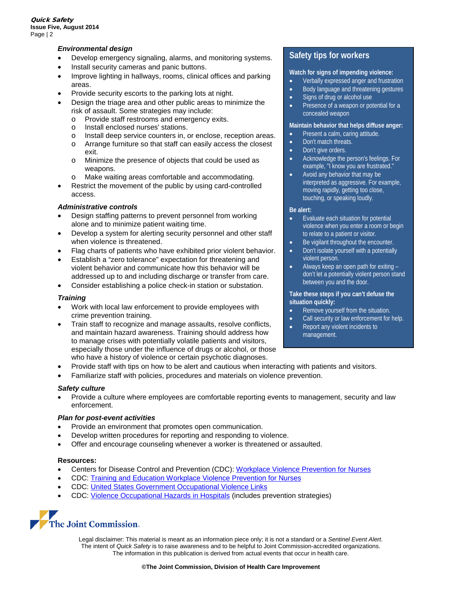# *Environmental design*

- Develop emergency signaling, alarms, and monitoring systems.
- Install security cameras and panic buttons.
- Improve lighting in hallways, rooms, clinical offices and parking areas.
- Provide security escorts to the parking lots at night.
- Design the triage area and other public areas to minimize the risk of assault. Some strategies may include:
	- o Provide staff restrooms and emergency exits.<br>o Install enclosed nurses' stations
	- o Install enclosed nurses' stations.<br>
	o Install deep service counters in a
	- o Install deep service counters in, or enclose, reception areas.
	- Arrange furniture so that staff can easily access the closest exit.
	- o Minimize the presence of objects that could be used as weapons.
	- o Make waiting areas comfortable and accommodating.
- Restrict the movement of the public by using card-controlled access.

## *Administrative controls*

- Design staffing patterns to prevent personnel from working alone and to minimize patient waiting time.
- Develop a system for alerting security personnel and other staff when violence is threatened.
- Flag charts of patients who have exhibited prior violent behavior.
- Establish a "zero tolerance" expectation for threatening and violent behavior and communicate how this behavior will be addressed up to and including discharge or transfer from care.
- Consider establishing a police check-in station or substation.

## *Training*

- Work with local law enforcement to provide employees with crime prevention training.
- Train staff to recognize and manage assaults, resolve conflicts, and maintain hazard awareness. Training should address how to manage crises with potentially volatile patients and visitors, especially those under the influence of drugs or alcohol, or those who have a history of violence or certain psychotic diagnoses.
- Provide staff with tips on how to be alert and cautious when interacting with patients and visitors.
- Familiarize staff with policies, procedures and materials on violence prevention.

## *Safety culture*

• Provide a culture where employees are comfortable reporting events to management, security and law enforcement.

## *Plan for post-event activities*

- Provide an environment that promotes open communication.
- Develop written procedures for reporting and responding to violence.
- Offer and encourage counseling whenever a worker is threatened or assaulted.

## **Resources:**

- Centers for Disease Control and Prevention (CDC): [Workplace Violence Prevention for Nurses](http://www.cdc.gov/niosh/topics/violence/)
- CDC: [Training and Education Workplace Violence Prevention for Nurses](http://www.cdc.gov/niosh/topics/violence/training_nurses.html)
- CDC: [United States Government Occupational Violence Links](http://www.cdc.gov/niosh/topics/violence/links.html)
- CDC: [Violence Occupational Hazards in Hospitals](http://www.cdc.gov/niosh/docs/2002-101/) (includes prevention strategies)



Legal disclaimer: This material is meant as an information piece only; it is not a standard or a *Sentinel Event Alert*. The intent of *Quick Safety* is to raise awareness and to be helpful to Joint Commission-accredited organizations. The information in this publication is derived from actual events that occur in health care.

# **Safety tips for workers**

## **Watch for signs of impending violence:**

- Verbally expressed anger and frustration
- Body language and threatening gestures
- Signs of drug or alcohol use
- Presence of a weapon or potential for a concealed weapon

#### **Maintain behavior that helps diffuse anger:**

- Present a calm, caring attitude.
- Don't match threats.
- Don't give orders.
- Acknowledge the person's feelings. For example, "I know you are frustrated."
- Avoid any behavior that may be interpreted as aggressive. For example, moving rapidly, getting too close, touching, or speaking loudly.

#### **Be alert:**

- Evaluate each situation for potential violence when you enter a room or begin to relate to a patient or visitor.
- Be vigilant throughout the encounter.
- Don't isolate yourself with a potentially violent person.
- Always keep an open path for exiting don't let a potentially violent person stand between you and the door.

#### **Take these steps if you can't defuse the situation quickly:**

- Remove yourself from the situation.
- Call security or law enforcement for help.
- Report any violent incidents to management.